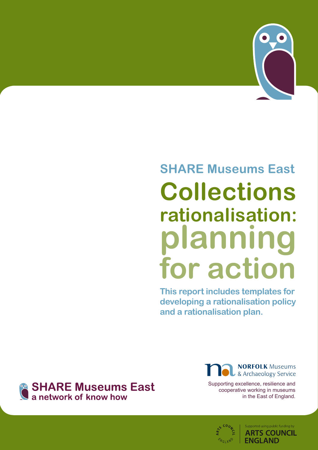

# **SHARE Museums East Collections rationalisation: planning for action**

**This report includes templates for developing a rationalisation policy and a rationalisation plan.**



**NORFOLK Museums** & Archaeology Service

Supporting excellence, resilience and cooperative working in museums in the East of England.



upported using public funding by **ARTS COUNCIL ENGLAND**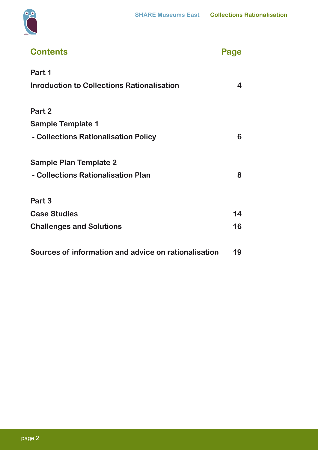



| <b>Contents</b>                                      | Page |
|------------------------------------------------------|------|
| Part 1                                               |      |
| <b>Inroduction to Collections Rationalisation</b>    | 4    |
| Part 2                                               |      |
| <b>Sample Template 1</b>                             |      |
| - Collections Rationalisation Policy                 | 6    |
| <b>Sample Plan Template 2</b>                        |      |
| - Collections Rationalisation Plan                   | 8    |
| Part 3                                               |      |
| <b>Case Studies</b>                                  | 14   |
| <b>Challenges and Solutions</b>                      | 16   |
| Sources of information and advice on rationalisation | 19   |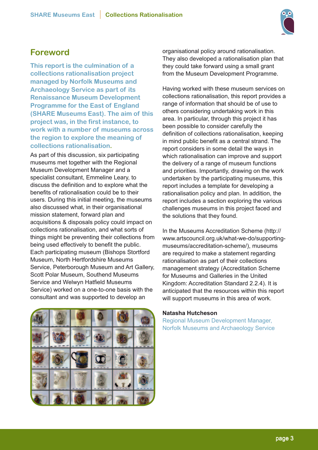

# **Foreword**

**This report is the culmination of a collections rationalisation project managed by Norfolk Museums and Archaeology Service as part of its Renaissance Museum Development Programme for the East of England (SHARE Museums East). The aim of this project was, in the first instance, to work with a number of museums across the region to explore the meaning of collections rationalisation.**

As part of this discussion, six participating museums met together with the Regional Museum Development Manager and a specialist consultant, Emmeline Leary, to discuss the definition and to explore what the benefits of rationalisation could be to their users. During this initial meeting, the museums also discussed what, in their organisational mission statement, forward plan and acquisitions & disposals policy could impact on collections rationalisation, and what sorts of things might be preventing their collections from being used effectively to benefit the public. Each participating museum (Bishops Stortford Museum, North Hertfordshire Museums Service, Peterborough Museum and Art Gallery, Scott Polar Museum, Southend Museums Service and Welwyn Hatfield Museums Service) worked on a one-to-one basis with the consultant and was supported to develop an



organisational policy around rationalisation. They also developed a rationalisation plan that they could take forward using a small grant from the Museum Development Programme.

Having worked with these museum services on collections rationalisation, this report provides a range of information that should be of use to others considering undertaking work in this area. In particular, through this project it has been possible to consider carefully the definition of collections rationalisation, keeping in mind public benefit as a central strand. The report considers in some detail the ways in which rationalisation can improve and support the delivery of a range of museum functions and priorities. Importantly, drawing on the work undertaken by the participating museums, this report includes a template for developing a rationalisation policy and plan. In addition, the report includes a section exploring the various challenges museums in this project faced and the solutions that they found.

In the Museums Accreditation Scheme (http:// www.artscouncil.org.uk/what-we-do/supportingmuseums/accreditation-scheme/), museums are required to make a statement regarding rationalisation as part of their collections management strategy (Accreditation Scheme for Museums and Galleries in the United Kingdom: Accreditation Standard 2.2.4). It is anticipated that the resources within this report will support museums in this area of work.

#### **Natasha Hutcheson**

Regional Museum Development Manager, Norfolk Museums and Archaeology Service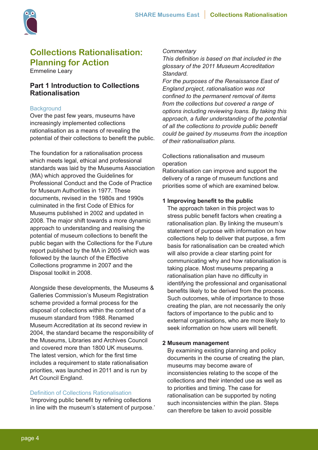

# **Collections Rationalisation: Planning for Action**

Emmeline Leary

# **Part 1 Introduction to Collections Rationalisation**

# **Background**

Over the past few years, museums have increasingly implemented collections rationalisation as a means of revealing the potential of their collections to benefit the public.

The foundation for a rationalisation process which meets legal, ethical and professional standards was laid by the Museums Association (MA) which approved the Guidelines for Professional Conduct and the Code of Practice for Museum Authorities in 1977. These documents, revised in the 1980s and 1990s culminated in the first Code of Ethics for Museums published in 2002 and updated in 2008. The major shift towards a more dynamic approach to understanding and realising the potential of museum collections to benefit the public began with the Collections for the Future report published by the MA in 2005 which was followed by the launch of the Effective Collections programme in 2007 and the Disposal toolkit in 2008.

Alongside these developments, the Museums & Galleries Commission's Museum Registration scheme provided a formal process for the disposal of collections within the context of a museum standard from 1988. Renamed Museum Accreditation at its second review in 2004, the standard became the responsibility of the Museums, Libraries and Archives Council and covered more than 1800 UK museums. The latest version, which for the first time includes a requirement to state rationalisation priorities, was launched in 2011 and is run by Art Council England.

#### Definition of Collections Rationalisation

'Improving public benefit by refining collections in line with the museum's statement of purpose.'

#### *Commentary*

*This definition is based on that included in the glossary of the 2011 Museum Accreditation Standard.*

*For the purposes of the Renaissance East of England project, rationalisation was not confined to the permanent removal of items from the collections but covered a range of options including reviewing loans. By taking this approach, a fuller understanding of the potential of all the collections to provide public benefit could be gained by museums from the inception of their rationalisation plans.*

Collections rationalisation and museum operation

Rationalisation can improve and support the delivery of a range of museum functions and priorities some of which are examined below.

## **1 Improving benefit to the public**

The approach taken in this project was to stress public benefit factors when creating a rationalisation plan. By linking the museum's statement of purpose with information on how collections help to deliver that purpose, a firm basis for rationalisation can be created which will also provide a clear starting point for communicating why and how rationalisation is taking place. Most museums preparing a rationalisation plan have no difficulty in identifying the professional and organisational benefits likely to be derived from the process. Such outcomes, while of importance to those creating the plan, are not necessarily the only factors of importance to the public and to external organisations, who are more likely to seek information on how users will benefit.

#### **2 Museum management**

By examining existing planning and policy documents in the course of creating the plan, museums may become aware of inconsistencies relating to the scope of the collections and their intended use as well as to priorities and timing. The case for rationalisation can be supported by noting such inconsistencies within the plan. Steps can therefore be taken to avoid possible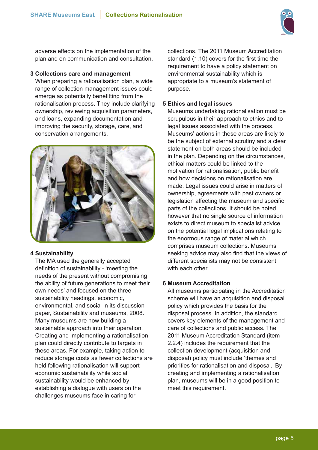

adverse effects on the implementation of the plan and on communication and consultation.

## **3 Collections care and management**

When preparing a rationalisation plan, a wide range of collection management issues could emerge as potentially benefitting from the rationalisation process. They include clarifying ownership, reviewing acquisition parameters, and loans, expanding documentation and improving the security, storage, care, and conservation arrangements.



# **4 Sustainability**

The MA used the generally accepted definition of sustainability - 'meeting the needs of the present without compromising the ability of future generations to meet their own needs' and focused on the three sustainability headings, economic, environmental, and social in its discussion paper, Sustainability and museums, 2008. Many museums are now building a sustainable approach into their operation. Creating and implementing a rationalisation plan could directly contribute to targets in these areas. For example, taking action to reduce storage costs as fewer collections are held following rationalisation will support economic sustainability while social sustainability would be enhanced by establishing a dialogue with users on the challenges museums face in caring for

collections. The 2011 Museum Accreditation standard (1.10) covers for the first time the requirement to have a policy statement on environmental sustainability which is appropriate to a museum's statement of purpose.

# **5 Ethics and legal issues**

Museums undertaking rationalisation must be scrupulous in their approach to ethics and to legal issues associated with the process. Museums' actions in these areas are likely to be the subject of external scrutiny and a clear statement on both areas should be included in the plan. Depending on the circumstances, ethical matters could be linked to the motivation for rationalisation, public benefit and how decisions on rationalisation are made. Legal issues could arise in matters of ownership, agreements with past owners or legislation affecting the museum and specific parts of the collections. It should be noted however that no single source of information exists to direct museum to specialist advice on the potential legal implications relating to the enormous range of material which comprises museum collections. Museums seeking advice may also find that the views of different specialists may not be consistent with each other.

# **6 Museum Accreditation**

All museums participating in the Accreditation scheme will have an acquisition and disposal policy which provides the basis for the disposal process. In addition, the standard covers key elements of the management and care of collections and public access. The 2011 Museum Accreditation Standard (item 2.2.4) includes the requirement that the collection development (acquisition and disposal) policy must include 'themes and priorities for rationalisation and disposal.' By creating and implementing a rationalisation plan, museums will be in a good position to meet this requirement.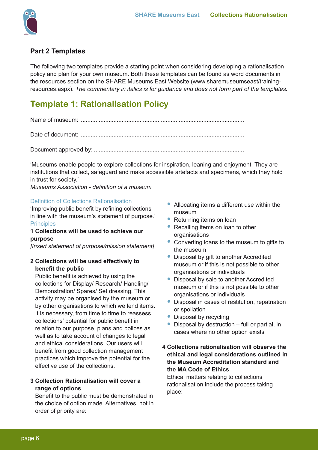

# **Part 2 Templates**

The following two templates provide a starting point when considering developing a rationalisation policy and plan for your own museum. Both these templates can be found as word documents in the resources section on the SHARE Museums East Website (www.sharemuseumseast/trainingresources.aspx). *The commentary in italics is for guidance and does not form part of the templates.*

# **Template 1: Rationalisation Policy**

Name of museum: .....................................................................................................

Date of document: .....................................................................................................

Document approved by: ............................................................................................

'Museums enable people to explore collections for inspiration, leaning and enjoyment. They are institutions that collect, safeguard and make accessible artefacts and specimens, which they hold in trust for society.'

*Museums Association - definition of a museum*

# Definition of Collections Rationalisation

'Improving public benefit by refining collections in line with the museum's statement of purpose.' **Principles** 

# **1 Collections will be used to achieve our purpose**

*[Insert statement of purpose/mission statement]*

# **2 Collections will be used effectively to benefit the public**

Public benefit is achieved by using the collections for Display/ Research/ Handling/ Demonstration/ Spares/ Set dressing. This activity may be organised by the museum or by other organisations to which we lend items. It is necessary, from time to time to reassess collections' potential for public benefit in relation to our purpose, plans and polices as well as to take account of changes to legal and ethical considerations. Our users will benefit from good collection management practices which improve the potential for the effective use of the collections.

# **3 Collection Rationalisation will cover a range of options**

Benefit to the public must be demonstrated in the choice of option made. Alternatives, not in order of priority are:

- Allocating items a different use within the museum
- Returning items on loan
- Recalling items on loan to other organisations
- Converting loans to the museum to gifts to the museum
- Disposal by gift to another Accredited museum or if this is not possible to other organisations or individuals
- Disposal by sale to another Accredited museum or if this is not possible to other organisations or individuals
- Disposal in cases of restitution, repatriation or spoliation
- Disposal by recycling
- Disposal by destruction full or partial, in cases where no other option exists

# **4 Collections rationalisation will observe the ethical and legal considerations outlined in the Museum Accreditation standard and the MA Code of Ethics**

Ethical matters relating to collections rationalisation include the process taking place: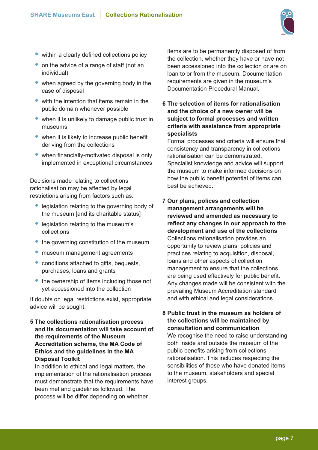

- within a clearly defined collections policy
- on the advice of a range of staff (not an individual)
- when agreed by the governing body in the case of disposal
- with the intention that items remain in the public domain whenever possible
- when it is unlikely to damage public trust in museums
- when it is likely to increase public benefit deriving from the collections
- when financially-motivated disposal is only implemented in exceptional circumstances

Decisions made relating to collections rationalisation may be affected by legal restrictions arising from factors such as:

- legislation relating to the governing body of the museum [and its charitable status]
- legislation relating to the museum's collections
- the governing constitution of the museum
- museum management agreements
- conditions attached to gifts, bequests, purchases, loans and grants
- the ownership of items including those not yet accessioned into the collection

If doubts on legal restrictions exist, appropriate advice will be sought.

**5 The collections rationalisation process and its documentation will take account of the requirements of the Museum Accreditation scheme, the MA Code of Ethics and the guidelines in the MA Disposal Toolkit**

In addition to ethical and legal matters, the implementation of the rationalisation process must demonstrate that the requirements have been met and guidelines followed. The process will be differ depending on whether

items are to be permanently disposed of from the collection, whether they have or have not been accessioned into the collection or are on loan to or from the museum. Documentation requirements are given in the museum's Documentation Procedural Manual.

**6 The selection of items for rationalisation and the choice of a new owner will be subject to formal processes and written criteria with assistance from appropriate specialists**

Formal processes and criteria will ensure that consistency and transparency in collections rationalisation can be demonstrated. Specialist knowledge and advice will support the museum to make informed decisions on how the public benefit potential of items can best be achieved.

**7 Our plans, polices and collection management arrangements will be reviewed and amended as necessary to reflect any changes in our approach to the development and use of the collections** Collections rationalisation provides an opportunity to review plans, policies and practices relating to acquisition, disposal, loans and other aspects of collection management to ensure that the collections are being used effectively for public benefit. Any changes made will be consistent with the prevailing Museum Accreditation standard and with ethical and legal considerations.

# **8 Public trust in the museum as holders of the collections will be maintained by consultation and communication**

We recognise the need to raise understanding both inside and outside the museum of the public benefits arising from collections rationalisation. This includes respecting the sensibilities of those who have donated items to the museum, stakeholders and special interest groups.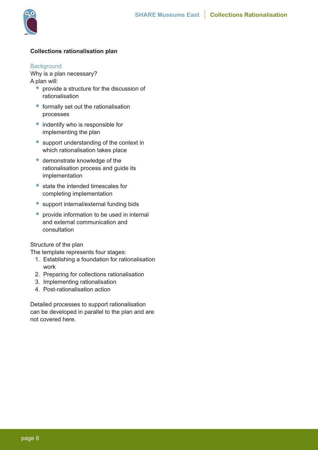

# **Collections rationalisation plan**

#### **Background**

Why is a plan necessary? A plan will:

- provide a structure for the discussion of rationalisation
- formally set out the rationalisation processes
- indentify who is responsible for implementing the plan
- support understanding of the context in which rationalisation takes place
- demonstrate knowledge of the rationalisation process and guide its implementation
- state the intended timescales for completing implementation
- support internal/external funding bids
- provide information to be used in internal and external communication and consultation

Structure of the plan

The template represents four stages:

- 1. Establishing a foundation for rationalisation work
- 2. Preparing for collections rationalisation
- 3. Implementing rationalisation
- 4. Post-rationalisation action

Detailed processes to support rationalisation can be developed in parallel to the plan and are not covered here.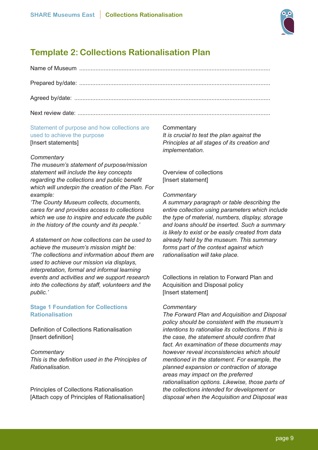

# **Template 2: Collections Rationalisation Plan**

# Statement of purpose and how collections are used to achieve the purpose [Insert statements]

# *Commentary*

*The museum's statement of purpose/mission statement will include the key concepts regarding the collections and public benefit which will underpin the creation of the Plan. For example:*

*'The County Museum collects, documents, cares for and provides access to collections which we use to inspire and educate the public in the history of the county and its people.'*

*A statement on how collections can be used to achieve the museum's mission might be: 'The collections and information about them are used to achieve our mission via displays, interpretation, formal and informal learning events and activities and we support research into the collections by staff, volunteers and the public.'*

# **Stage 1 Foundation for Collections Rationalisation**

Definition of Collections Rationalisation [Insert definition]

*Commentary This is the definition used in the Principles of Rationalisation.*

Principles of Collections Rationalisation [Attach copy of Principles of Rationalisation]

#### **Commentary**

*It is crucial to test the plan against the Principles at all stages of its creation and implementation.*

Overview of collections [Insert statement]

## *Commentary*

*A summary paragraph or table describing the entire collection using parameters which include the type of material, numbers, display, storage and loans should be inserted. Such a summary is likely to exist or be easily created from data already held by the museum. This summary forms part of the context against which rationalisation will take place.*

Collections in relation to Forward Plan and Acquisition and Disposal policy [Insert statement]

#### *Commentary*

*The Forward Plan and Acquisition and Disposal policy should be consistent with the museum's intentions to rationalise its collections. If this is the case, the statement should confirm that fact. An examination of these documents may however reveal inconsistencies which should mentioned in the statement. For example, the planned expansion or contraction of storage areas may impact on the preferred rationalisation options. Likewise, those parts of the collections intended for development or disposal when the Acquisition and Disposal was*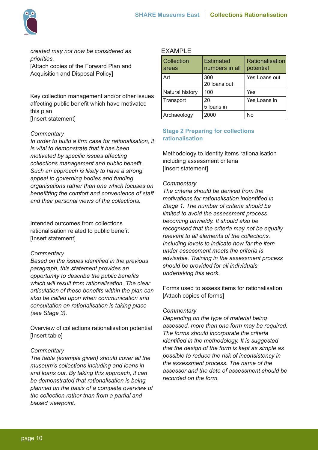

*created may not now be considered as priorities.* [Attach copies of the Forward Plan and Acquisition and Disposal Policy]

Key collection management and/or other issues affecting public benefit which have motivated this plan [Insert statement]

## *Commentary*

*In order to build a firm case for rationalisation, it is vital to demonstrate that it has been motivated by specific issues affecting collections management and public benefit. Such an approach is likely to have a strong appeal to governing bodies and funding organisations rather than one which focuses on benefitting the comfort and convenience of staff and their personal views of the collections.*

Intended outcomes from collections rationalisation related to public benefit [Insert statement]

#### *Commentary*

*Based on the issues identified in the previous paragraph, this statement provides an opportunity to describe the public benefits which will result from rationalisation. The clear articulation of these benefits within the plan can also be called upon when communication and consultation on rationalisation is taking place (see Stage 3).*

Overview of collections rationalisation potential [Insert table]

# *Commentary*

*The table (example given) should cover all the museum's collections including and loans in and loans out. By taking this approach, it can be demonstrated that rationalisation is being planned on the basis of a complete overview of the collection rather than from a partial and biased viewpoint.*

## EXAMPLE

| <b>Collection</b><br>areas | <b>Estimated</b><br>numbers in all | Rationalisation<br>potential |
|----------------------------|------------------------------------|------------------------------|
| Art                        | 300<br>20 loans out                | Yes Loans out                |
| Natural history            | 100                                | Yes                          |
| Transport                  | 20<br>5 loans in                   | Yes Loans in                 |
| Archaeology                | 2000                               | N٥                           |

# **Stage 2 Preparing for collections rationalisation**

Methodology to identity items rationalisation including assessment criteria [Insert statement]

## *Commentary*

*The criteria should be derived from the motivations for rationalisation indentified in Stage 1. The number of criteria should be limited to avoid the assessment process becoming unwieldy. It should also be recognised that the criteria may not be equally relevant to all elements of the collections. Including levels to indicate how far the item under assessment meets the criteria is advisable. Training in the assessment process should be provided for all individuals undertaking this work.*

Forms used to assess items for rationalisation [Attach copies of forms]

# *Commentary*

*Depending on the type of material being assessed, more than one form may be required. The forms should incorporate the criteria identified in the methodology. It is suggested that the design of the form is kept as simple as possible to reduce the risk of inconsistency in the assessment process. The name of the assessor and the date of assessment should be recorded on the form.*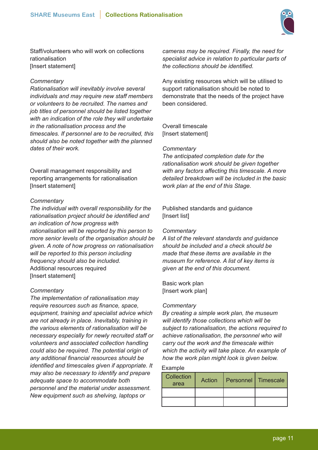

Staff/volunteers who will work on collections rationalisation [Insert statement]

## *Commentary*

*Rationalisation will inevitably involve several individuals and may require new staff members or volunteers to be recruited. The names and job titles of personnel should be listed together with an indication of the role they will undertake in the rationalisation process and the timescales. If personnel are to be recruited, this should also be noted together with the planned dates of their work.*

Overall management responsibility and reporting arrangements for rationalisation [Insert statement]

## *Commentary*

*The individual with overall responsibility for the rationalisation project should be identified and an indication of how progress with rationalisation will be reported by this person to more senior levels of the organisation should be given. A note of how progress on rationalisation will be reported to this person including frequency should also be included.* Additional resources required [Insert statement]

#### *Commentary*

*The implementation of rationalisation may require resources such as finance, space, equipment, training and specialist advice which are not already in place. Inevitably, training in the various elements of rationalisation will be necessary especially for newly recruited staff or volunteers and associated collection handling could also be required. The potential origin of any additional financial resources should be identified and timescales given if appropriate. It may also be necessary to identify and prepare adequate space to accommodate both personnel and the material under assessment. New equipment such as shelving, laptops or* 

*cameras may be required. Finally, the need for specialist advice in relation to particular parts of the collections should be identified.*

Any existing resources which will be utilised to support rationalisation should be noted to demonstrate that the needs of the project have been considered.

Overall timescale [Insert statement]

## *Commentary*

*The anticipated completion date for the rationalisation work should be given together with any factors affecting this timescale. A more detailed breakdown will be included in the basic work plan at the end of this Stage.*

Published standards and guidance [Insert list]

#### *Commentary*

*A list of the relevant standards and guidance should be included and a check should be made that these items are available in the museum for reference. A list of key items is given at the end of this document.*

Basic work plan [Insert work plan]

#### *Commentary*

*By creating a simple work plan, the museum will identify those collections which will be subject to rationalisation, the actions required to achieve rationalisation, the personnel who will carry out the work and the timescale within which the activity will take place. An example of how the work plan might look is given below.* 

# Example

| Collection<br>area | <b>Action</b> | <b>Personnel   Timescale</b> |  |
|--------------------|---------------|------------------------------|--|
|                    |               |                              |  |
|                    |               |                              |  |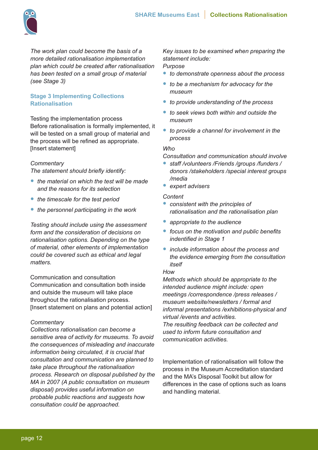

*The work plan could become the basis of a more detailed rationalisation implementation plan which could be created after rationalisation has been tested on a small group of material (see Stage 3)*

# **Stage 3 Implementing Collections Rationalisation**

Testing the implementation process Before rationalisation is formally implemented, it will be tested on a small group of material and the process will be refined as appropriate. [Insert statement]

# *Commentary*

*The statement should briefly identify:*

- *• the material on which the test will be made and the reasons for its selection*
- *• the timescale for the test period*
- *• the personnel participating in the work*

*Testing should include using the assessment form and the consideration of decisions on rationalisation options. Depending on the type of material, other elements of implementation could be covered such as ethical and legal matters.*

Communication and consultation Communication and consultation both inside and outside the museum will take place throughout the rationalisation process. [Insert statement on plans and potential action]

# *Commentary*

*Collections rationalisation can become a sensitive area of activity for museums. To avoid the consequences of misleading and inaccurate information being circulated, it is crucial that consultation and communication are planned to take place throughout the rationalisation process. Research on disposal published by the MA in 2007 (A public consultation on museum disposal) provides useful information on probable public reactions and suggests how consultation could be approached.*

*Key issues to be examined when preparing the statement include:*

# *Purpose*

- *• to demonstrate openness about the process*
- *• to be a mechanism for advocacy for the museum*
- *• to provide understanding of the process*
- *• to seek views both within and outside the museum*
- *• to provide a channel for involvement in the process*

## *Who*

*Consultation and communication should involve* 

- *• staff /volunteers /Friends /groups /funders / donors /stakeholders /special interest groups /media*
- *• expert advisers*

## *Content*

- *• consistent with the principles of rationalisation and the rationalisation plan*
- *• appropriate to the audience*
- *• focus on the motivation and public benefits indentified in Stage 1*
- *• include information about the process and the evidence emerging from the consultation itself*

# *How*

*Methods which should be appropriate to the intended audience might include: open meetings /correspondence /press releases / museum website/newsletters / formal and informal presentations /exhibitions-physical and virtual /events and activities.*

*The resulting feedback can be collected and used to inform future consultation and communication activities.*

Implementation of rationalisation will follow the process in the Museum Accreditation standard and the MA's Disposal Toolkit but allow for differences in the case of options such as loans and handling material.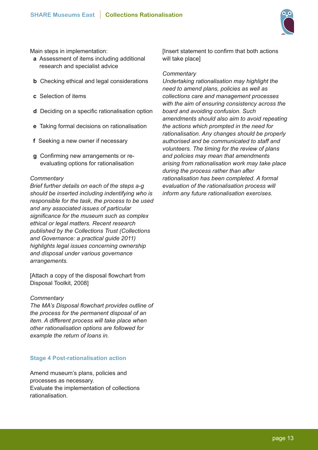

Main steps in implementation:

- **a** Assessment of items including additional research and specialist advice
- **b** Checking ethical and legal considerations
- **c** Selection of items
- **d** Deciding on a specific rationalisation option
- **e** Taking formal decisions on rationalisation
- **f** Seeking a new owner if necessary
- **g** Confirming new arrangements or reevaluating options for rationalisation

# *Commentary*

*Brief further details on each of the steps a-g should be inserted including indentifying who is responsible for the task, the process to be used and any associated issues of particular significance for the museum such as complex ethical or legal matters. Recent research published by the Collections Trust (Collections and Governance: a practical guide 2011) highlights legal issues concerning ownership and disposal under various governance arrangements.*

[Attach a copy of the disposal flowchart from Disposal Toolkit, 2008]

#### *Commentary*

*The MA's Disposal flowchart provides outline of the process for the permanent disposal of an item. A different process will take place when other rationalisation options are followed for example the return of loans in.*

# **Stage 4 Post-rationalisation action**

Amend museum's plans, policies and processes as necessary. Evaluate the implementation of collections rationalisation.

[Insert statement to confirm that both actions will take place]

## *Commentary*

*Undertaking rationalisation may highlight the need to amend plans, policies as well as collections care and management processes with the aim of ensuring consistency across the board and avoiding confusion. Such amendments should also aim to avoid repeating the actions which prompted in the need for rationalisation. Any changes should be properly authorised and be communicated to staff and volunteers. The timing for the review of plans and policies may mean that amendments arising from rationalisation work may take place during the process rather than after rationalisation has been completed. A formal evaluation of the rationalisation process will inform any future rationalisation exercises.*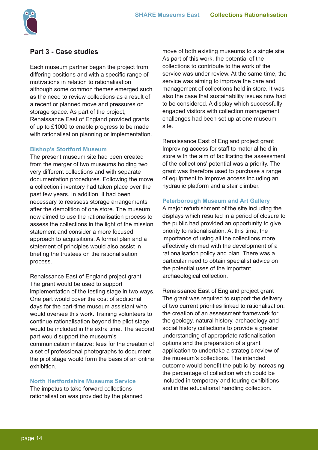

# **Part 3 - Case studies**

Each museum partner began the project from differing positions and with a specific range of motivations in relation to rationalisation although some common themes emerged such as the need to review collections as a result of a recent or planned move and pressures on storage space. As part of the project, Renaissance East of England provided grants of up to £1000 to enable progress to be made with rationalisation planning or implementation.

#### **Bishop's Stortford Museum**

The present museum site had been created from the merger of two museums holding two very different collections and with separate documentation procedures. Following the move, a collection inventory had taken place over the past few years. In addition, it had been necessary to reassess storage arrangements after the demolition of one store. The museum now aimed to use the rationalisation process to assess the collections in the light of the mission statement and consider a more focused approach to acquisitions. A formal plan and a statement of principles would also assist in briefing the trustees on the rationalisation process.

Renaissance East of England project grant The grant would be used to support implementation of the testing stage in two ways. One part would cover the cost of additional days for the part-time museum assistant who would oversee this work. Training volunteers to continue rationalisation beyond the pilot stage would be included in the extra time. The second part would support the museum's communication initiative: fees for the creation of a set of professional photographs to document the pilot stage would form the basis of an online exhibition.

# **North Hertfordshire Museums Service**

The impetus to take forward collections rationalisation was provided by the planned move of both existing museums to a single site. As part of this work, the potential of the collections to contribute to the work of the service was under review. At the same time, the service was aiming to improve the care and management of collections held in store. It was also the case that sustainability issues now had to be considered. A display which successfully engaged visitors with collection management challenges had been set up at one museum site.

Renaissance East of England project grant Improving access for staff to material held in store with the aim of facilitating the assessment of the collections' potential was a priority. The grant was therefore used to purchase a range of equipment to improve access including an hydraulic platform and a stair climber.

## **Peterborough Museum and Art Gallery**

A major refurbishment of the site including the displays which resulted in a period of closure to the public had provided an opportunity to give priority to rationalisation. At this time, the importance of using all the collections more effectively chimed with the development of a rationalisation policy and plan. There was a particular need to obtain specialist advice on the potential uses of the important archaeological collection.

Renaissance East of England project grant The grant was required to support the delivery of two current priorities linked to rationalisation: the creation of an assessment framework for the geology, natural history, archaeology and social history collections to provide a greater understanding of appropriate rationalisation options and the preparation of a grant application to undertake a strategic review of the museum's collections. The intended outcome would benefit the public by increasing the percentage of collection which could be included in temporary and touring exhibitions and in the educational handling collection.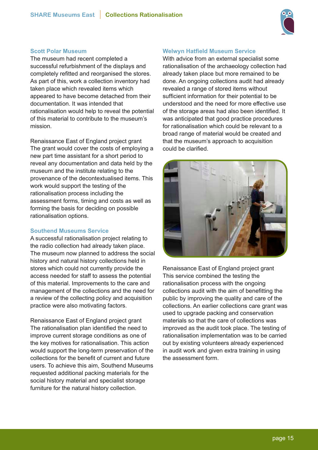

## **Scott Polar Museum**

The museum had recent completed a successful refurbishment of the displays and completely refitted and reorganised the stores. As part of this, work a collection inventory had taken place which revealed items which appeared to have become detached from their documentation. It was intended that rationalisation would help to reveal the potential of this material to contribute to the museum's mission.

Renaissance East of England project grant The grant would cover the costs of employing a new part time assistant for a short period to reveal any documentation and data held by the museum and the institute relating to the provenance of the decontextualised items. This work would support the testing of the rationalisation process including the assessment forms, timing and costs as well as forming the basis for deciding on possible rationalisation options.

# **Southend Museums Service**

A successful rationalisation project relating to the radio collection had already taken place. The museum now planned to address the social history and natural history collections held in stores which could not currently provide the access needed for staff to assess the potential of this material. Improvements to the care and management of the collections and the need for a review of the collecting policy and acquisition practice were also motivating factors.

Renaissance East of England project grant The rationalisation plan identified the need to improve current storage conditions as one of the key motives for rationalisation. This action would support the long-term preservation of the collections for the benefit of current and future users. To achieve this aim, Southend Museums requested additional packing materials for the social history material and specialist storage furniture for the natural history collection.

#### **Welwyn Hatfield Museum Service**

With advice from an external specialist some rationalisation of the archaeology collection had already taken place but more remained to be done. An ongoing collections audit had already revealed a range of stored items without sufficient information for their potential to be understood and the need for more effective use of the storage areas had also been identified. It was anticipated that good practice procedures for rationalisation which could be relevant to a broad range of material would be created and that the museum's approach to acquisition could be clarified.



Renaissance East of England project grant This service combined the testing the rationalisation process with the ongoing collections audit with the aim of benefitting the public by improving the quality and care of the collections. An earlier collections care grant was used to upgrade packing and conservation materials so that the care of collections was improved as the audit took place. The testing of rationalisation implementation was to be carried out by existing volunteers already experienced in audit work and given extra training in using the assessment form.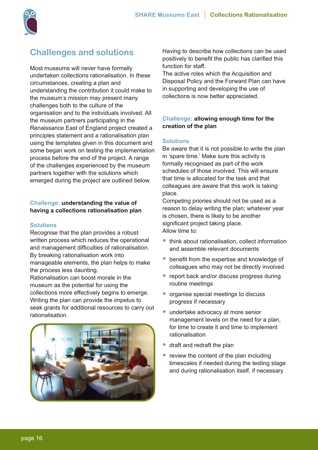

# **Challenges and solutions**

Most museums will never have formally undertaken collections rationalisation. In these circumstances, creating a plan and understanding the contribution it could make to the museum's mission may present many challenges both to the culture of the organisation and to the individuals involved. All the museum partners participating in the Renaissance East of England project created a principles statement and a rationalisation plan using the templates given in this document and some began work on testing the implementation process before the end of the project. A range of the challenges experienced by the museum partners together with the solutions which emerged during the project are outlined below.

# **Challenge: understanding the value of having a collections rationalisation plan**

## **Solutions**

Recognise that the plan provides a robust written process which reduces the operational and management difficulties of rationalisation. By breaking rationalisation work into manageable elements, the plan helps to make the process less daunting. Rationalisation can boost morale in the museum as the potential for using the

collections more effectively begins to emerge. Writing the plan can provide the impetus to seek grants for additional resources to carry out rationalisation.



Having to describe how collections can be used positively to benefit the public has clarified this function for staff.

The active roles which the Acquisition and Disposal Policy and the Forward Plan can have in supporting and developing the use of collections is now better appreciated.

# **Challenge: allowing enough time for the creation of the plan**

## **Solutions**

Be aware that it is not possible to write the plan in 'spare time.' Make sure this activity is formally recognised as part of the work schedules of those involved. This will ensure that time is allocated for the task and that colleagues are aware that this work is taking place.

Competing priories should not be used as a reason to delay writing the plan; whatever year is chosen, there is likely to be another significant project taking place. Allow time to:

- think about rationalisation, collect information and assemble relevant documents
- benefit from the expertise and knowledge of colleagues who may not be directly involved
- report back and/or discuss progress during routine meetings
- organise special meetings to discuss progress if necessary
- undertake advocacy at more senior management levels on the need for a plan, for time to create it and time to implement rationalisation
- draft and redraft the plan
- review the content of the plan including timescales if needed during the testing stage and during rationalisation itself, if necessary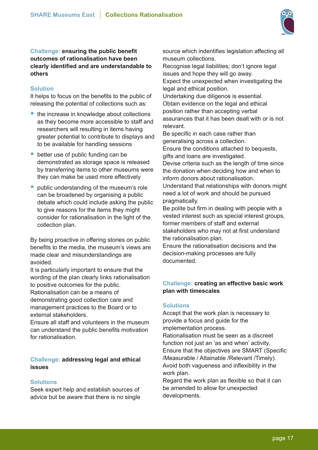

**Challenge: ensuring the public benefit outcomes of rationalisation have been clearly identified and are understandable to others**

# **Solution**

It helps to focus on the benefits to the public of releasing the potential of collections such as:

- the increase in knowledge about collections as they become more accessible to staff and researchers will resulting in items having greater potential to contribute to displays and to be available for handling sessions
- better use of public funding can be demonstrated as storage space is released by transferring items to other museums were they can make be used more effectively
- public understanding of the museum's role can be broadened by organising a public debate which could include asking the public to give reasons for the items they might consider for rationalisation in the light of the collection plan.

By being proactive in offering stories on public benefits to the media, the museum's views are made clear and misunderstandings are avoided.

It is particularly important to ensure that the wording of the plan clearly links rationalisation to positive outcomes for the public. Rationalisation can be a means of demonstrating good collection care and management practices to the Board or to

external stakeholders. Ensure all staff and volunteers in the museum

can understand the public benefits motivation for rationalisation.

# **Challenge: addressing legal and ethical issues**

# **Solutions**

Seek expert help and establish sources of advice but be aware that there is no single source which indentifies legislation affecting all museum collections.

Recognise legal liabilities; don't ignore legal issues and hope they will go away. Expect the unexpected when investigating the legal and ethical position.

Undertaking due diligence is essential. Obtain evidence on the legal and ethical position rather than accepting verbal assurances that it has been dealt with or is not relevant.

Be specific in each case rather than generalising across a collection.

Ensure the conditions attached to bequests, gifts and loans are investigated.

Devise criteria such as the length of time since the donation when deciding how and when to inform donors about rationalisation.

Understand that relationships with donors might need a lot of work and should be pursued pragmatically.

Be polite but firm in dealing with people with a vested interest such as special interest groups, former members of staff and external stakeholders who may not at first understand the rationalisation plan.

Ensure the rationalisation decisions and the decision-making processes are fully documented.

# **Challenge: creating an effective basic work plan with timescales**

# **Solutions**

Accept that the work plan is necessary to provide a focus and guide for the implementation process.

Rationalisation must be seen as a discreet function not just an 'as and when' activity. Ensure that the objectives are SMART (Specific /Measurable / Attainable /Relevant /Timely). Avoid both vagueness and inflexibility in the work plan.

Regard the work plan as flexible so that it can be amended to allow for unexpected developments.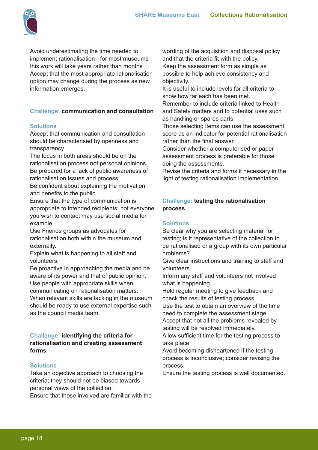

Avoid underestimating the time needed to implement rationalisation - for most museums this work will take years rather than months Accept that the most appropriate rationalisation option may change during the process as new information emerges.

# **Challenge: communication and consultation**

# **Solutions**

Accept that communication and consultation should be characterised by openness and transparency.

The focus in both areas should be on the rationalisation process not personal opinions. Be prepared for a lack of public awareness of rationalisation issues and process.

Be confident about explaining the motivation and benefits to the public.

Ensure that the type of communication is appropriate to intended recipients; not everyone you wish to contact may use social media for example.

Use Friends groups as advocates for rationalisation both within the museum and externally.

Explain what is happening to all staff and volunteers.

Be proactive in approaching the media and be aware of its power and that of public opinion. Use people with appropriate skills when

communicating on rationalisation matters.

When relevant skills are lacking in the museum should be ready to use external expertise such as the council media team.

# **Challenge: identifying the criteria for rationalisation and creating assessment forms**

# **Solutions**

Take an objective approach to choosing the criteria; they should not be biased towards personal views of the collection.

Ensure that those involved are familiar with the

wording of the acquisition and disposal policy and that the criteria fit with the policy. Keep the assessment form as simple as possible to help achieve consistency and objectivity.

It is useful to include levels for all criteria to show how far each has been met.

Remember to include criteria linked to Health and Safety matters and to potential uses such as handling or spares parts.

Those selecting items can use the assessment score as an indicator for potential rationalisation rather than the final answer.

Consider whether a computerised or paper assessment process is preferable for those doing the assessments.

Revise the criteria and forms if necessary in the light of testing rationalisation implementation.

# **Challenge: testing the rationalisation process**

# **Solutions**

Be clear why you are selecting material for testing; is it representative of the collection to be rationalised or a group with its own particular problems?

Give clear instructions and training to staff and volunteers.

Inform any staff and volunteers not involved what is happening.

Held regular meeting to give feedback and check the results of testing process.

Use the test to obtain an overview of the time need to complete the assessment stage.

Accept that not all the problems revealed by testing will be resolved immediately.

Allow sufficient time for the testing process to take place.

Avoid becoming disheartened if the testing process is inconclusive; consider revising the process.

Ensure the testing process is well documented.